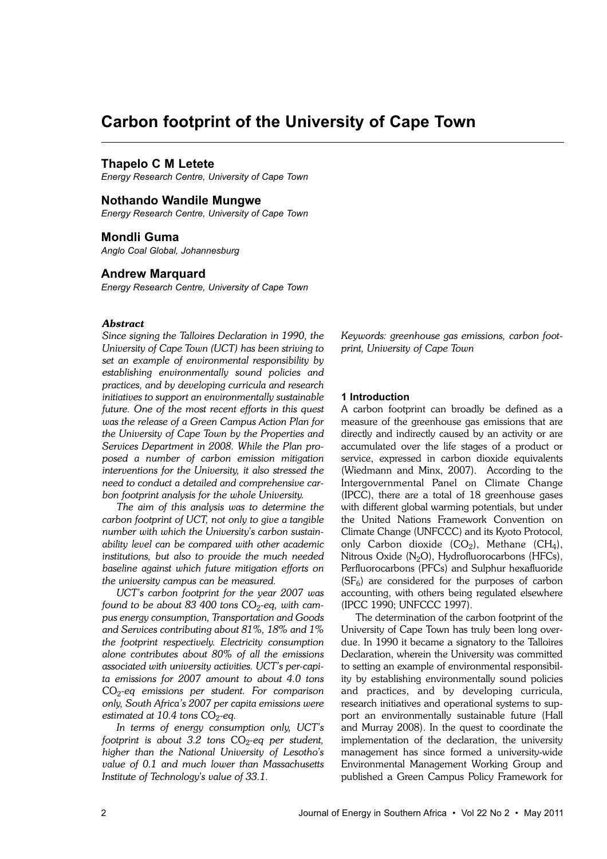# **Carbon footprint of the University of Cape Town**

# **Thapelo C M Letete**

*Energy Research Centre, University of Cape Town*

# **Nothando Wandile Mungwe**

*Energy Research Centre, University of Cape Town*

# **Mondli Guma**

*Anglo Coal Global, Johannesburg*

# **Andrew Marquard**

*Energy Research Centre, University of Cape Town*

# *Abstract*

*Since signing the Talloires Declaration in 1990, the University of Cape Town (UCT) has been striving to set an example of environmental responsibility by establishing environmentally sound policies and practices, and by developing curricula and research initiatives to support an environmentally sustainable future. One of the most recent efforts in this quest was the release of a Green Campus Action Plan for the University of Cape Town by the Properties and Services Department in 2008. While the Plan proposed a number of carbon emission mitigation interventions for the University, it also stressed the need to conduct a detailed and comprehensive carbon footprint analysis for the whole University.* 

*The aim of this analysis was to determine the carbon footprint of UCT, not only to give a tangible number with which the University's carbon sustainability level can be compared with other academic institutions, but also to provide the much needed baseline against which future mitigation efforts on the university campus can be measured.* 

*UCT's carbon footprint for the year 2007 was found to be about 83 400 tons* CO<sup>2</sup> *-eq, with campus energy consumption, Transportation and Goods and Services contributing about 81%, 18% and 1% the footprint respectively. Electricity consumption alone contributes about 80% of all the emissions associated with university activities. UCT's per-capita emissions for 2007 amount to about 4.0 tons* CO<sup>2</sup> *-eq emissions per student. For comparison only, South Africa's 2007 per capita emissions were* estimated at 10.4 tons CO<sub>2</sub>-eq.

*In terms of energy consumption only, UCT's footprint is about 3.2 tons* CO<sup>2</sup> *-eq per student, higher than the National University of Lesotho's value of 0.1 and much lower than Massachusetts Institute of Technology's value of 33.1.*

*Keywords: greenhouse gas emissions, carbon footprint, University of Cape Town*

# **1 Introduction**

A carbon footprint can broadly be defined as a measure of the greenhouse gas emissions that are directly and indirectly caused by an activity or are accumulated over the life stages of a product or service, expressed in carbon dioxide equivalents (Wiedmann and Minx, 2007). According to the Intergovernmental Panel on Climate Change (IPCC), there are a total of 18 greenhouse gases with different global warming potentials, but under the United Nations Framework Convention on Climate Change (UNFCCC) and its Kyoto Protocol, only Carbon dioxide (CO<sub>2</sub>), Methane (CH<sub>4</sub>), Nitrous Oxide (N<sub>2</sub>O), Hydrofluorocarbons (HFCs), Perfluorocarbons (PFCs) and Sulphur hexafluoride  $(SF_6)$  are considered for the purposes of carbon accounting, with others being regulated elsewhere (IPCC 1990; UNFCCC 1997).

The determination of the carbon footprint of the University of Cape Town has truly been long overdue. In 1990 it became a signatory to the Talloires Declaration, wherein the University was committed to setting an example of environmental responsibility by establishing environmentally sound policies and practices, and by developing curricula, research initiatives and operational systems to support an environmentally sustainable future (Hall and Murray 2008). In the quest to coordinate the implementation of the declaration, the university management has since formed a university-wide Environmental Management Working Group and published a Green Campus Policy Framework for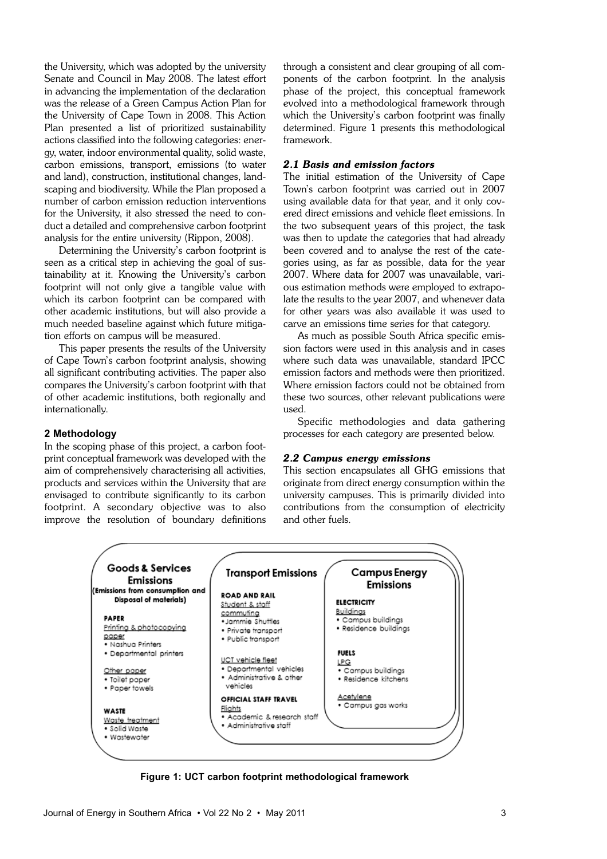the University, which was adopted by the university Senate and Council in May 2008. The latest effort in advancing the implementation of the declaration was the release of a Green Campus Action Plan for the University of Cape Town in 2008. This Action Plan presented a list of prioritized sustainability actions classified into the following categories: energy, water, indoor environmental quality, solid waste, carbon emissions, transport, emissions (to water and land), construction, institutional changes, landscaping and biodiversity. While the Plan proposed a number of carbon emission reduction interventions for the University, it also stressed the need to conduct a detailed and comprehensive carbon footprint analysis for the entire university (Rippon, 2008).

Determining the University's carbon footprint is seen as a critical step in achieving the goal of sustainability at it. Knowing the University's carbon footprint will not only give a tangible value with which its carbon footprint can be compared with other academic institutions, but will also provide a much needed baseline against which future mitigation efforts on campus will be measured.

This paper presents the results of the University of Cape Town's carbon footprint analysis, showing all significant contributing activities. The paper also compares the University's carbon footprint with that of other academic institutions, both regionally and internationally.

## **2 Methodology**

In the scoping phase of this project, a carbon footprint conceptual framework was developed with the aim of comprehensively characterising all activities, products and services within the University that are envisaged to contribute significantly to its carbon footprint. A secondary objective was to also improve the resolution of boundary definitions through a consistent and clear grouping of all components of the carbon footprint. In the analysis phase of the project, this conceptual framework evolved into a methodological framework through which the University's carbon footprint was finally determined. Figure 1 presents this methodological framework.

# *2.1 Basis and emission factors*

The initial estimation of the University of Cape Town's carbon footprint was carried out in 2007 using available data for that year, and it only covered direct emissions and vehicle fleet emissions. In the two subsequent years of this project, the task was then to update the categories that had already been covered and to analyse the rest of the categories using, as far as possible, data for the year 2007. Where data for 2007 was unavailable, various estimation methods were employed to extrapolate the results to the year 2007, and whenever data for other years was also available it was used to carve an emissions time series for that category.

As much as possible South Africa specific emission factors were used in this analysis and in cases where such data was unavailable, standard IPCC emission factors and methods were then prioritized. Where emission factors could not be obtained from these two sources, other relevant publications were used.

Specific methodologies and data gathering processes for each category are presented below.

#### *2.2 Campus energy emissions*

This section encapsulates all GHG emissions that originate from direct energy consumption within the university campuses. This is primarily divided into contributions from the consumption of electricity and other fuels.



**Figure 1: UCT carbon footprint methodological framework**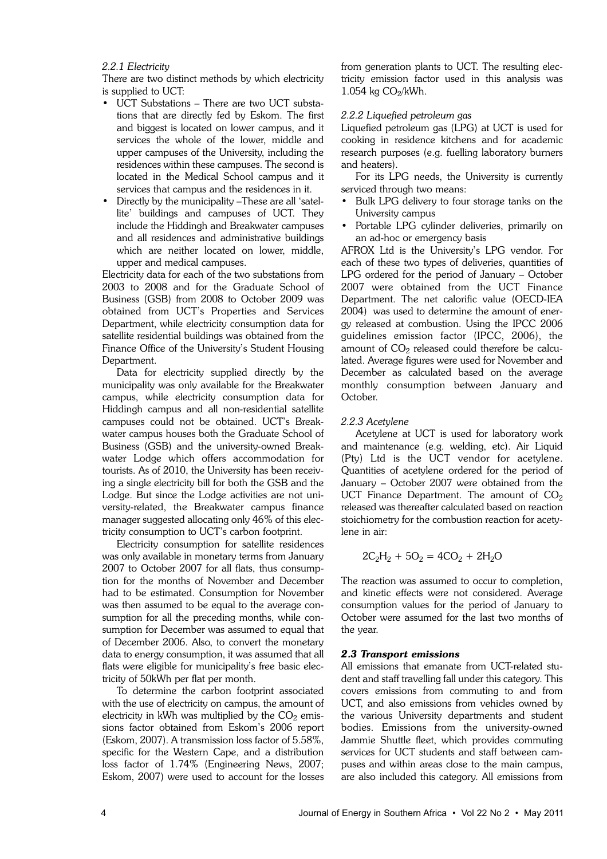# *2.2.1 Electricity*

There are two distinct methods by which electricity is supplied to UCT:

- UCT Substations There are two UCT substations that are directly fed by Eskom. The first and biggest is located on lower campus, and it services the whole of the lower, middle and upper campuses of the University, including the residences within these campuses. The second is located in the Medical School campus and it services that campus and the residences in it.
- Directly by the municipality –These are all 'satellite' buildings and campuses of UCT. They include the Hiddingh and Breakwater campuses and all residences and administrative buildings which are neither located on lower, middle, upper and medical campuses.

Electricity data for each of the two substations from 2003 to 2008 and for the Graduate School of Business (GSB) from 2008 to October 2009 was obtained from UCT's Properties and Services Department, while electricity consumption data for satellite residential buildings was obtained from the Finance Office of the University's Student Housing Department.

Data for electricity supplied directly by the municipality was only available for the Breakwater campus, while electricity consumption data for Hiddingh campus and all non-residential satellite campuses could not be obtained. UCT's Breakwater campus houses both the Graduate School of Business (GSB) and the university-owned Breakwater Lodge which offers accommodation for tourists. As of 2010, the University has been receiving a single electricity bill for both the GSB and the Lodge. But since the Lodge activities are not university-related, the Breakwater campus finance manager suggested allocating only 46% of this electricity consumption to UCT's carbon footprint.

Electricity consumption for satellite residences was only available in monetary terms from January 2007 to October 2007 for all flats, thus consumption for the months of November and December had to be estimated. Consumption for November was then assumed to be equal to the average consumption for all the preceding months, while consumption for December was assumed to equal that of December 2006. Also, to convert the monetary data to energy consumption, it was assumed that all flats were eligible for municipality's free basic electricity of 50kWh per flat per month.

To determine the carbon footprint associated with the use of electricity on campus, the amount of electricity in kWh was multiplied by the  $CO<sub>2</sub>$  emissions factor obtained from Eskom's 2006 report (Eskom, 2007). A transmission loss factor of 5.58%, specific for the Western Cape, and a distribution loss factor of 1.74% (Engineering News, 2007; Eskom, 2007) were used to account for the losses from generation plants to UCT. The resulting electricity emission factor used in this analysis was  $1.054$  kg  $CO_2/kWh$ .

# *2.2.2 Liquefied petroleum gas*

Liquefied petroleum gas (LPG) at UCT is used for cooking in residence kitchens and for academic research purposes (e.g. fuelling laboratory burners and heaters).

For its LPG needs, the University is currently serviced through two means:

- Bulk LPG delivery to four storage tanks on the University campus
- Portable LPG cylinder deliveries, primarily on an ad-hoc or emergency basis

AFROX Ltd is the University's LPG vendor. For each of these two types of deliveries, quantities of LPG ordered for the period of January – October 2007 were obtained from the UCT Finance Department. The net calorific value (OECD-IEA 2004) was used to determine the amount of energy released at combustion. Using the IPCC 2006 guidelines emission factor (IPCC, 2006), the amount of  $\mathrm{CO}_2$  released could therefore be calculated. Average figures were used for November and December as calculated based on the average monthly consumption between January and October.

# *2.2.3 Acetylene*

Acetylene at UCT is used for laboratory work and maintenance (e.g. welding, etc). Air Liquid (Pty) Ltd is the UCT vendor for acetylene. Quantities of acetylene ordered for the period of January – October 2007 were obtained from the UCT Finance Department. The amount of  $CO<sub>2</sub>$ released was thereafter calculated based on reaction stoichiometry for the combustion reaction for acetylene in air:

$$
2C_2H_2 + 5O_2 = 4CO_2 + 2H_2O
$$

The reaction was assumed to occur to completion, and kinetic effects were not considered. Average consumption values for the period of January to October were assumed for the last two months of the year.

## *2.3 Transport emissions*

All emissions that emanate from UCT-related student and staff travelling fall under this category. This covers emissions from commuting to and from UCT, and also emissions from vehicles owned by the various University departments and student bodies. Emissions from the university-owned Jammie Shuttle fleet, which provides commuting services for UCT students and staff between campuses and within areas close to the main campus, are also included this category. All emissions from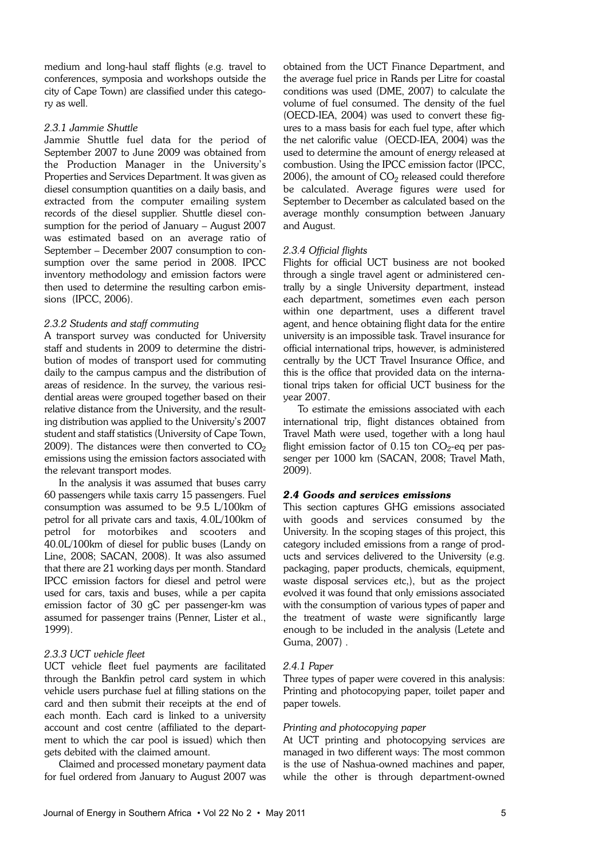medium and long-haul staff flights (e.g. travel to conferences, symposia and workshops outside the city of Cape Town) are classified under this category as well.

# *2.3.1 Jammie Shuttle*

Jammie Shuttle fuel data for the period of September 2007 to June 2009 was obtained from the Production Manager in the University's Properties and Services Department. It was given as diesel consumption quantities on a daily basis, and extracted from the computer emailing system records of the diesel supplier. Shuttle diesel consumption for the period of January – August 2007 was estimated based on an average ratio of September – December 2007 consumption to consumption over the same period in 2008. IPCC inventory methodology and emission factors were then used to determine the resulting carbon emissions (IPCC, 2006).

# *2.3.2 Students and staff commuting*

A transport survey was conducted for University staff and students in 2009 to determine the distribution of modes of transport used for commuting daily to the campus campus and the distribution of areas of residence. In the survey, the various residential areas were grouped together based on their relative distance from the University, and the resulting distribution was applied to the University's 2007 student and staff statistics (University of Cape Town, 2009). The distances were then converted to  $CO<sub>2</sub>$ emissions using the emission factors associated with the relevant transport modes.

In the analysis it was assumed that buses carry 60 passengers while taxis carry 15 passengers. Fuel consumption was assumed to be 9.5 L/100km of petrol for all private cars and taxis, 4.0L/100km of petrol for motorbikes and scooters and 40.0L/100km of diesel for public buses (Landy on Line, 2008; SACAN, 2008). It was also assumed that there are 21 working days per month. Standard IPCC emission factors for diesel and petrol were used for cars, taxis and buses, while a per capita emission factor of 30 gC per passenger-km was assumed for passenger trains (Penner, Lister et al., 1999).

# *2.3.3 UCT vehicle fleet*

UCT vehicle fleet fuel payments are facilitated through the Bankfin petrol card system in which vehicle users purchase fuel at filling stations on the card and then submit their receipts at the end of each month. Each card is linked to a university account and cost centre (affiliated to the department to which the car pool is issued) which then gets debited with the claimed amount.

Claimed and processed monetary payment data for fuel ordered from January to August 2007 was obtained from the UCT Finance Department, and the average fuel price in Rands per Litre for coastal conditions was used (DME, 2007) to calculate the volume of fuel consumed. The density of the fuel (OECD-IEA, 2004) was used to convert these figures to a mass basis for each fuel type, after which the net calorific value (OECD-IEA, 2004) was the used to determine the amount of energy released at combustion. Using the IPCC emission factor (IPCC, 2006), the amount of  $\mathrm{CO}_2$  released could therefore be calculated. Average figures were used for September to December as calculated based on the average monthly consumption between January and August.

# *2.3.4 Official flights*

Flights for official UCT business are not booked through a single travel agent or administered centrally by a single University department, instead each department, sometimes even each person within one department, uses a different travel agent, and hence obtaining flight data for the entire university is an impossible task. Travel insurance for official international trips, however, is administered centrally by the UCT Travel Insurance Office, and this is the office that provided data on the international trips taken for official UCT business for the year 2007.

To estimate the emissions associated with each international trip, flight distances obtained from Travel Math were used, together with a long haul flight emission factor of  $0.15$  ton  $\rm CO_2$ -eq per passenger per 1000 km (SACAN, 2008; Travel Math, 2009).

# *2.4 Goods and services emissions*

This section captures GHG emissions associated with goods and services consumed by the University. In the scoping stages of this project, this category included emissions from a range of products and services delivered to the University (e.g. packaging, paper products, chemicals, equipment, waste disposal services etc,), but as the project evolved it was found that only emissions associated with the consumption of various types of paper and the treatment of waste were significantly large enough to be included in the analysis (Letete and Guma, 2007) .

## *2.4.1 Paper*

Three types of paper were covered in this analysis: Printing and photocopying paper, toilet paper and paper towels.

# *Printing and photocopying paper*

At UCT printing and photocopying services are managed in two different ways: The most common is the use of Nashua-owned machines and paper, while the other is through department-owned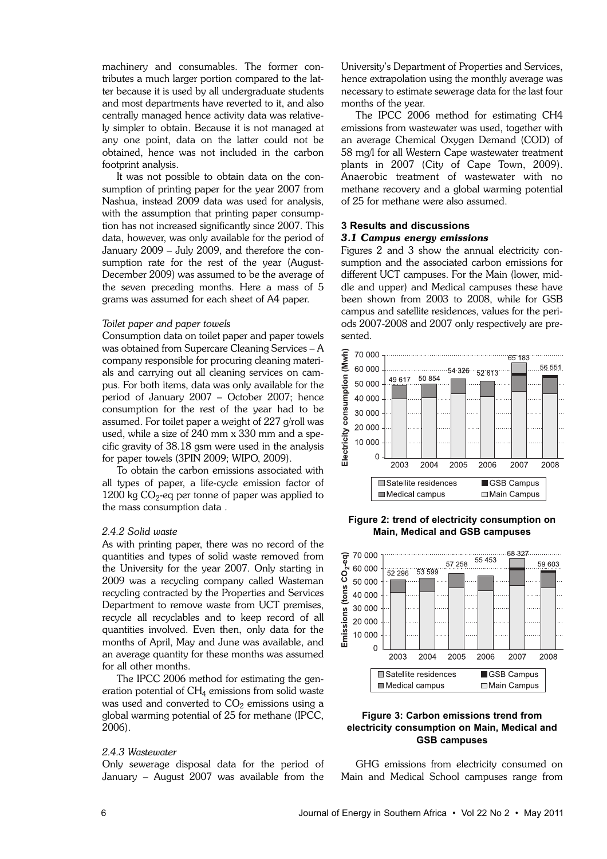machinery and consumables. The former contributes a much larger portion compared to the latter because it is used by all undergraduate students and most departments have reverted to it, and also centrally managed hence activity data was relatively simpler to obtain. Because it is not managed at any one point, data on the latter could not be obtained, hence was not included in the carbon footprint analysis.

It was not possible to obtain data on the consumption of printing paper for the year 2007 from Nashua, instead 2009 data was used for analysis, with the assumption that printing paper consumption has not increased significantly since 2007. This data, however, was only available for the period of January 2009 – July 2009, and therefore the consumption rate for the rest of the year (August-December 2009) was assumed to be the average of the seven preceding months. Here a mass of 5 grams was assumed for each sheet of A4 paper.

## *Toilet paper and paper towels*

Consumption data on toilet paper and paper towels was obtained from Supercare Cleaning Services – A company responsible for procuring cleaning materials and carrying out all cleaning services on campus. For both items, data was only available for the period of January 2007 – October 2007; hence consumption for the rest of the year had to be assumed. For toilet paper a weight of 227 g/roll was used, while a size of 240 mm x 330 mm and a specific gravity of 38.18 gsm were used in the analysis for paper towels (3PIN 2009; WIPO, 2009).

To obtain the carbon emissions associated with all types of paper, a life-cycle emission factor of  $1200 \text{ kg CO}_2$ -eq per tonne of paper was applied to the mass consumption data .

#### *2.4.2 Solid waste*

As with printing paper, there was no record of the quantities and types of solid waste removed from the University for the year 2007. Only starting in 2009 was a recycling company called Wasteman recycling contracted by the Properties and Services Department to remove waste from UCT premises, recycle all recyclables and to keep record of all quantities involved. Even then, only data for the months of April, May and June was available, and an average quantity for these months was assumed for all other months.

The IPCC 2006 method for estimating the generation potential of  $CH_4$  emissions from solid waste was used and converted to  $CO<sub>2</sub>$  emissions using a global warming potential of 25 for methane (IPCC, 2006).

# *2.4.3 Wastewater*

Only sewerage disposal data for the period of January – August 2007 was available from the

University's Department of Properties and Services, hence extrapolation using the monthly average was necessary to estimate sewerage data for the last four months of the year.

The IPCC 2006 method for estimating CH4 emissions from wastewater was used, together with an average Chemical Oxygen Demand (COD) of 58 mg/l for all Western Cape wastewater treatment plants in 2007 (City of Cape Town, 2009). Anaerobic treatment of wastewater with no methane recovery and a global warming potential of 25 for methane were also assumed.

#### **3 Results and discussions**

## *3.1 Campus energy emissions*

Figures 2 and 3 show the annual electricity consumption and the associated carbon emissions for different UCT campuses. For the Main (lower, middle and upper) and Medical campuses these have been shown from 2003 to 2008, while for GSB campus and satellite residences, values for the periods 2007-2008 and 2007 only respectively are presented.



**Figure 2: trend of electricity consumption on Main, Medical and GSB campuses**



# **Figure 3: Carbon emissions trend from electricity consumption on Main, Medical and GSB campuses**

GHG emissions from electricity consumed on Main and Medical School campuses range from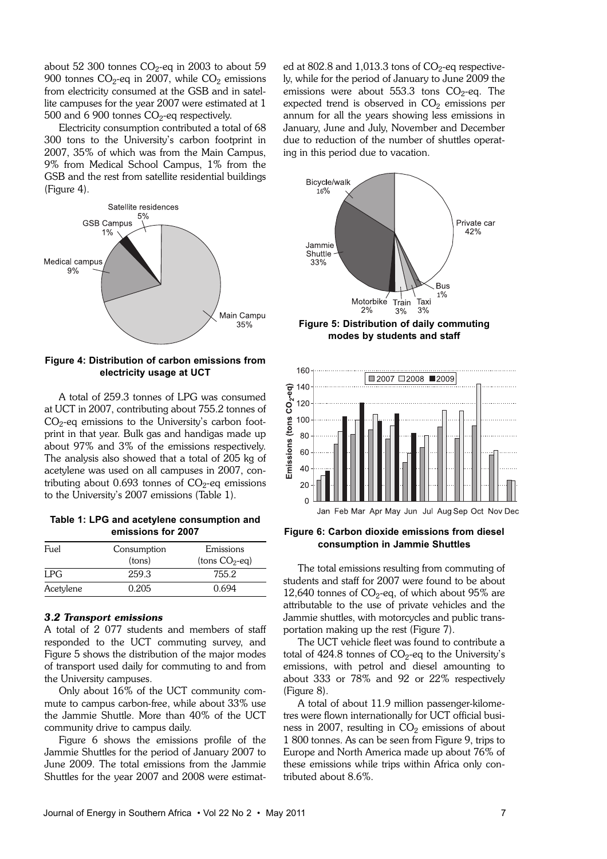about 52 300 tonnes  $\mathrm{CO}_2$ -eq in 2003 to about 59 900 tonnes CO $_2$ -eq in 2007, while CO $_2$  emissions from electricity consumed at the GSB and in satellite campuses for the year 2007 were estimated at 1  $500$  and 6  $900$  tonnes  $\mathrm{CO}_2$ -eq respectively.

Electricity consumption contributed a total of 68 300 tons to the University's carbon footprint in 2007, 35% of which was from the Main Campus, 9% from Medical School Campus, 1% from the GSB and the rest from satellite residential buildings (Figure 4).



# **Figure 4: Distribution of carbon emissions from electricity usage at UCT**

A total of 259.3 tonnes of LPG was consumed at UCT in 2007, contributing about 755.2 tonnes of  $CO<sub>2</sub>$ -eq emissions to the University's carbon footprint in that year. Bulk gas and handigas made up about 97% and 3% of the emissions respectively. The analysis also showed that a total of 205 kg of acetylene was used on all campuses in 2007, contributing about 0.693 tonnes of  $\rm CO_2$ -eq emissions to the University's 2007 emissions (Table 1).

**Table 1: LPG and acetylene consumption and emissions for 2007**

| Fuel      | Consumption<br>(tons) | Emissions<br>$(hons CO2-eq)$ |  |  |
|-----------|-----------------------|------------------------------|--|--|
| LPG.      | 259.3                 | 755.2                        |  |  |
| Acetylene | 0.205                 | 0.694                        |  |  |

# *3.2 Transport emissions*

A total of 2 077 students and members of staff responded to the UCT commuting survey, and Figure 5 shows the distribution of the major modes of transport used daily for commuting to and from the University campuses.

Only about 16% of the UCT community commute to campus carbon-free, while about 33% use the Jammie Shuttle. More than 40% of the UCT community drive to campus daily.

Figure 6 shows the emissions profile of the Jammie Shuttles for the period of January 2007 to June 2009. The total emissions from the Jammie Shuttles for the year 2007 and 2008 were estimat-

ed at  $802.8$  and  $1,013.3$  tons of  $\rm CO_2$ -eq respectively, while for the period of January to June 2009 the emissions were about 553.3 tons  $CO_2$ -eq. The expected trend is observed in  $CO<sub>2</sub>$  emissions per annum for all the years showing less emissions in January, June and July, November and December due to reduction of the number of shuttles operating in this period due to vacation.



**Figure 5: Distribution of daily commuting modes by students and staff**



# **Figure 6: Carbon dioxide emissions from diesel consumption in Jammie Shuttles**

The total emissions resulting from commuting of students and staff for 2007 were found to be about 12,640 tonnes of  $CO<sub>2</sub>$ -eq, of which about 95% are attributable to the use of private vehicles and the Jammie shuttles, with motorcycles and public transportation making up the rest (Figure 7).

The UCT vehicle fleet was found to contribute a total of 424.8 tonnes of CO $_2$ -eq to the University's emissions, with petrol and diesel amounting to about 333 or 78% and 92 or 22% respectively (Figure 8).

A total of about 11.9 million passenger-kilometres were flown internationally for UCT official business in 2007, resulting in  $CO<sub>2</sub>$  emissions of about 1 800 tonnes. As can be seen from Figure 9, trips to Europe and North America made up about 76% of these emissions while trips within Africa only contributed about 8.6%.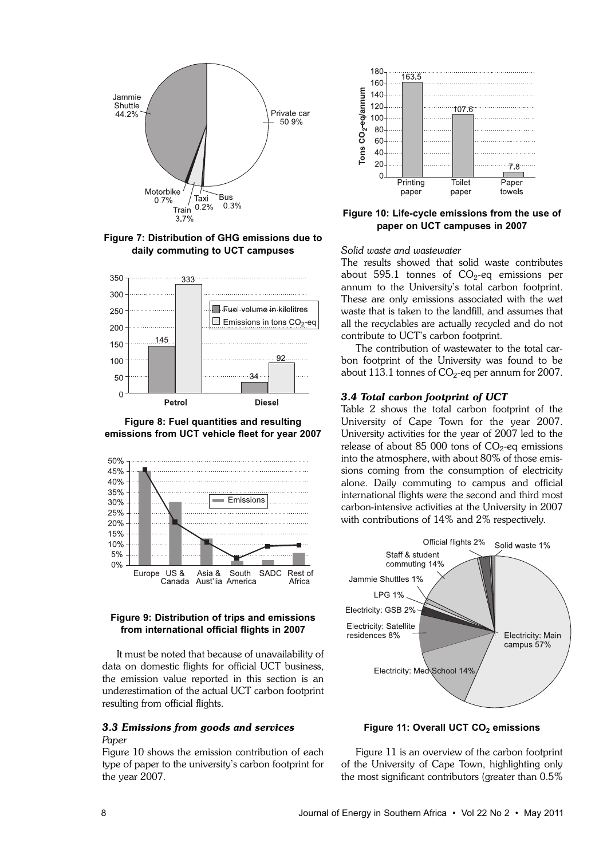

**Figure 7: Distribution of GHG emissions due to daily commuting to UCT campuses**



**Figure 8: Fuel quantities and resulting emissions from UCT vehicle fleet for year 2007**



# **Figure 9: Distribution of trips and emissions from international official flights in 2007**

It must be noted that because of unavailability of data on domestic flights for official UCT business, the emission value reported in this section is an underestimation of the actual UCT carbon footprint resulting from official flights.

# *3.3 Emissions from goods and services*

# *Paper*

Figure 10 shows the emission contribution of each type of paper to the university's carbon footprint for the year 2007.



**Figure 10: Life-cycle emissions from the use of paper on UCT campuses in 2007**

# *Solid waste and wastewater*

The results showed that solid waste contributes about 595.1 tonnes of  $\mathrm{CO}_2$ -eq emissions per annum to the University's total carbon footprint. These are only emissions associated with the wet waste that is taken to the landfill, and assumes that all the recyclables are actually recycled and do not contribute to UCT's carbon footprint.

The contribution of wastewater to the total carbon footprint of the University was found to be about  $113.1$  tonnes of CO $_2$ -eq per annum for 2007.

#### *3.4 Total carbon footprint of UCT*

Table 2 shows the total carbon footprint of the University of Cape Town for the year 2007. University activities for the year of 2007 led to the release of about 85 000 tons of  $\mathrm{CO}_2$ -eq emissions into the atmosphere, with about 80% of those emissions coming from the consumption of electricity alone. Daily commuting to campus and official international flights were the second and third most carbon-intensive activities at the University in 2007 with contributions of 14% and 2% respectively.



**Figure 11: Overall UCT CO<sup>2</sup> emissions**

Figure 11 is an overview of the carbon footprint of the University of Cape Town, highlighting only the most significant contributors (greater than 0.5%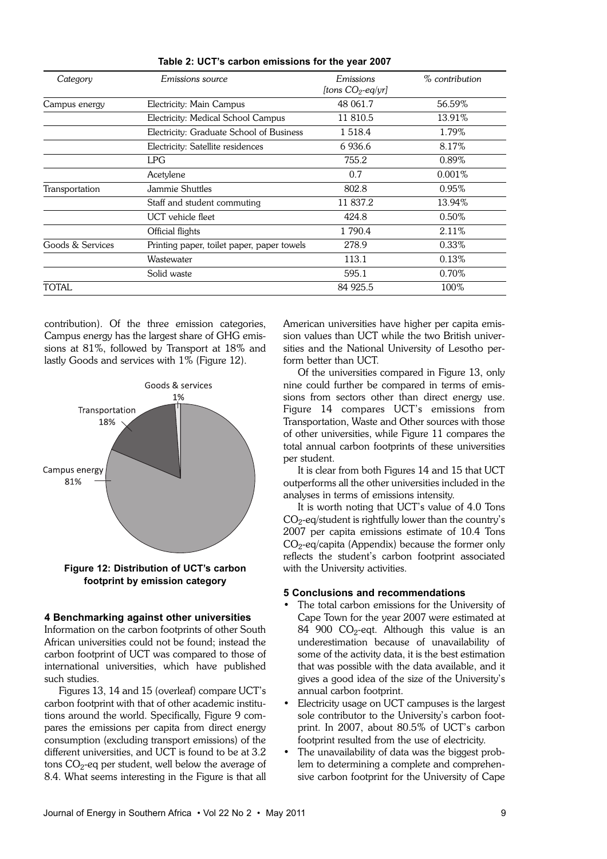| Category         | <i>Emissions source</i>                    | Emissions            | $\%$ contribution |
|------------------|--------------------------------------------|----------------------|-------------------|
|                  |                                            | [tons $CO_2$ -eq/yr] |                   |
| Campus energy    | Electricity: Main Campus                   | 48 061.7             | 56.59%            |
|                  | Electricity: Medical School Campus         | 11 810.5             | 13.91%            |
|                  | Electricity: Graduate School of Business   | 1 5 1 8 .4           | 1.79%             |
|                  | Electricity: Satellite residences          | 6936.6               | 8.17%             |
|                  | <b>LPG</b>                                 | 755.2                | 0.89%             |
|                  | Acetylene                                  | 0.7                  | $0.001\%$         |
| Transportation   | Jammie Shuttles                            | 802.8                | 0.95%             |
|                  | Staff and student commuting                | 11 837.2             | 13.94%            |
|                  | UCT vehicle fleet                          | 424.8                | $0.50\%$          |
|                  | Official flights                           | 1 790.4              | 2.11%             |
| Goods & Services | Printing paper, toilet paper, paper towels | 278.9                | 0.33%             |
|                  | Wastewater                                 | 113.1                | 0.13%             |
|                  | Solid waste                                | 595.1                | 0.70%             |
| TOTAL            |                                            | 84 925.5             | 100%              |

**Table 2: UCT's carbon emissions for the year 2007**

contribution). Of the three emission categories, Campus energy has the largest share of GHG emissions at 81%, followed by Transport at 18% and lastly Goods and services with 1% (Figure 12).



**Figure 12: Distribution of UCT's carbon footprint by emission category**

## **4 Benchmarking against other universities**

Information on the carbon footprints of other South African universities could not be found; instead the carbon footprint of UCT was compared to those of international universities, which have published such studies.

Figures 13, 14 and 15 (overleaf) compare UCT's carbon footprint with that of other academic institutions around the world. Specifically, Figure 9 compares the emissions per capita from direct energy consumption (excluding transport emissions) of the different universities, and UCT is found to be at 3.2 tons  $\mathrm{CO}_2$ -eq per student, well below the average of 8.4. What seems interesting in the Figure is that all American universities have higher per capita emission values than UCT while the two British universities and the National University of Lesotho perform better than UCT.

Of the universities compared in Figure 13, only nine could further be compared in terms of emissions from sectors other than direct energy use. Figure 14 compares UCT's emissions from Transportation, Waste and Other sources with those of other universities, while Figure 11 compares the total annual carbon footprints of these universities per student.

It is clear from both Figures 14 and 15 that UCT outperforms all the other universities included in the analyses in terms of emissions intensity.

It is worth noting that UCT's value of 4.0 Tons  $\mathrm{CO}_2$ -eq/student is rightfully lower than the country's 2007 per capita emissions estimate of 10.4 Tons  $\mathrm{CO}_2$ -eq/capita (Appendix) because the former only reflects the student's carbon footprint associated with the University activities.

# **5 Conclusions and recommendations**

- The total carbon emissions for the University of Cape Town for the year 2007 were estimated at  $84$   $900$   $CO_2$ -eqt. Although this value is an underestimation because of unavailability of some of the activity data, it is the best estimation that was possible with the data available, and it gives a good idea of the size of the University's annual carbon footprint.
- Electricity usage on UCT campuses is the largest sole contributor to the University's carbon footprint. In 2007, about 80.5% of UCT's carbon footprint resulted from the use of electricity.
- The unavailability of data was the biggest problem to determining a complete and comprehensive carbon footprint for the University of Cape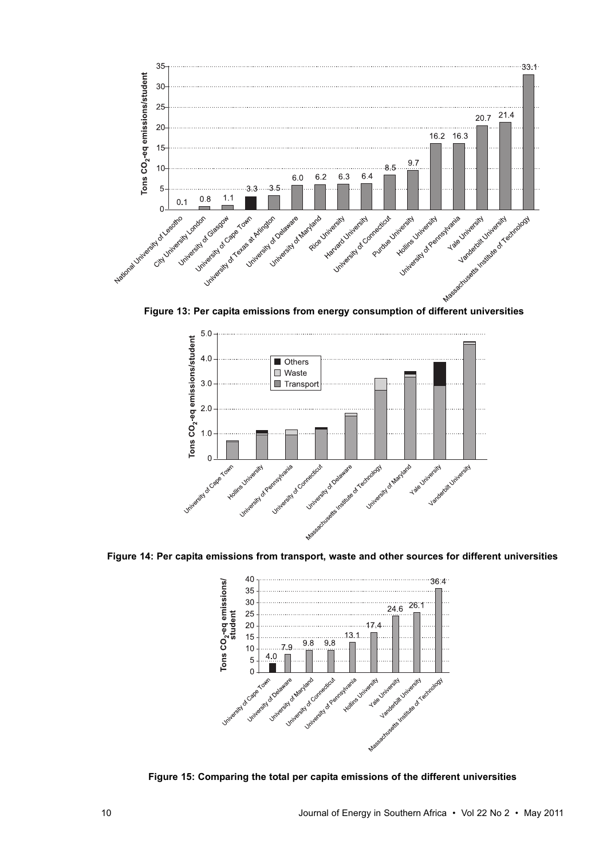

**Figure 13: Per capita emissions from energy consumption of different universities**



**Figure 14: Per capita emissions from transport, waste and other sources for different universities**



**Figure 15: Comparing the total per capita emissions of the different universities**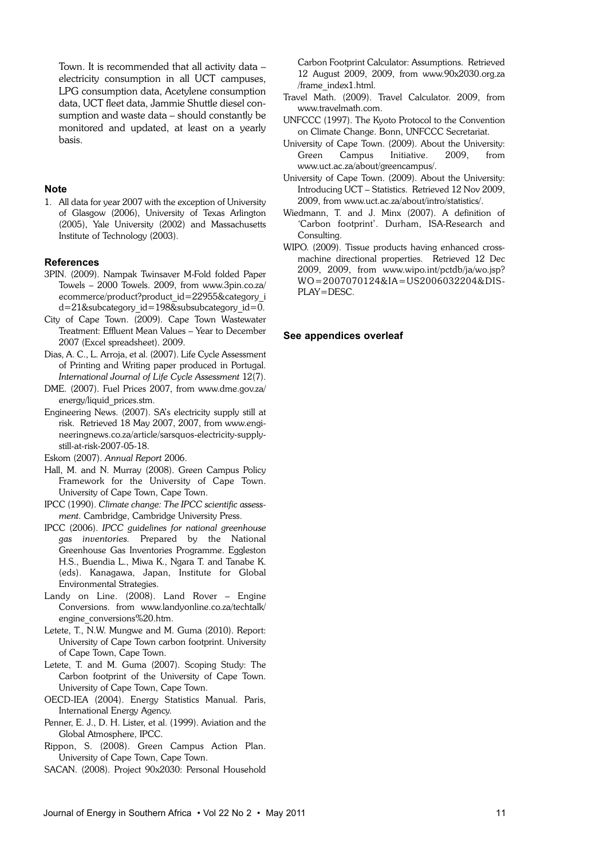Town. It is recommended that all activity data – electricity consumption in all UCT campuses, LPG consumption data, Acetylene consumption data, UCT fleet data, Jammie Shuttle diesel consumption and waste data – should constantly be monitored and updated, at least on a yearly basis.

## **Note**

1. All data for year 2007 with the exception of University of Glasgow (2006), University of Texas Arlington (2005), Yale University (2002) and Massachusetts Institute of Technology (2003).

## **References**

- 3PIN. (2009). Nampak Twinsaver M-Fold folded Paper Towels – 2000 Towels. 2009, from www.3pin.co.za/ ecommerce/product?product\_id=22955&category\_i d=21&subcategory\_id=198&subsubcategory\_id=0.
- City of Cape Town. (2009). Cape Town Wastewater Treatment: Effluent Mean Values – Year to December 2007 (Excel spreadsheet). 2009.
- Dias, A. C., L. Arroja, et al. (2007). Life Cycle Assessment of Printing and Writing paper produced in Portugal. *International Journal of Life Cycle Assessment* 12(7).
- DME. (2007). Fuel Prices 2007, from www.dme.gov.za/ energy/liquid\_prices.stm.
- Engineering News. (2007). SA's electricity supply still at risk. Retrieved 18 May 2007, 2007, from www.engineeringnews.co.za/article/sarsquos-electricity-supplystill-at-risk-2007-05-18.

Eskom (2007). *Annual Report* 2006.

- Hall, M. and N. Murray (2008). Green Campus Policy Framework for the University of Cape Town. University of Cape Town, Cape Town.
- IPCC (1990). *Climate change: The IPCC scientific assessment*. Cambridge, Cambridge University Press.
- IPCC (2006). *IPCC guidelines for national greenhouse gas inventories.* Prepared by the National Greenhouse Gas Inventories Programme. Eggleston H.S., Buendia L., Miwa K., Ngara T. and Tanabe K. (eds). Kanagawa, Japan, Institute for Global Environmental Strategies.
- Landy on Line. (2008). Land Rover Engine Conversions. from www.landyonline.co.za/techtalk/ engine\_conversions%20.htm.
- Letete, T., N.W. Mungwe and M. Guma (2010). Report: University of Cape Town carbon footprint. University of Cape Town, Cape Town.
- Letete, T. and M. Guma (2007). Scoping Study: The Carbon footprint of the University of Cape Town. University of Cape Town, Cape Town.
- OECD-IEA (2004). Energy Statistics Manual. Paris, International Energy Agency.
- Penner, E. J., D. H. Lister, et al. (1999). Aviation and the Global Atmosphere, IPCC.
- Rippon, S. (2008). Green Campus Action Plan. University of Cape Town, Cape Town.
- SACAN. (2008). Project 90x2030: Personal Household

Carbon Footprint Calculator: Assumptions. Retrieved 12 August 2009, 2009, from www.90x2030.org.za /frame\_index1.html.

- Travel Math. (2009). Travel Calculator. 2009, from www.travelmath.com.
- UNFCCC (1997). The Kyoto Protocol to the Convention on Climate Change. Bonn, UNFCCC Secretariat.
- University of Cape Town. (2009). About the University: Green Campus Initiative. 2009, from www.uct.ac.za/about/greencampus/.
- University of Cape Town. (2009). About the University: Introducing UCT – Statistics. Retrieved 12 Nov 2009, 2009, from www.uct.ac.za/about/intro/statistics/.
- Wiedmann, T. and J. Minx (2007). A definition of 'Carbon footprint'. Durham, ISA-Research and Consulting.
- WIPO. (2009). Tissue products having enhanced crossmachine directional properties. Retrieved 12 Dec 2009, 2009, from www.wipo.int/pctdb/ja/wo.jsp? WO=2007070124&IA=US2006032204&DIS-PLAY=DESC.

## **See appendices overleaf**